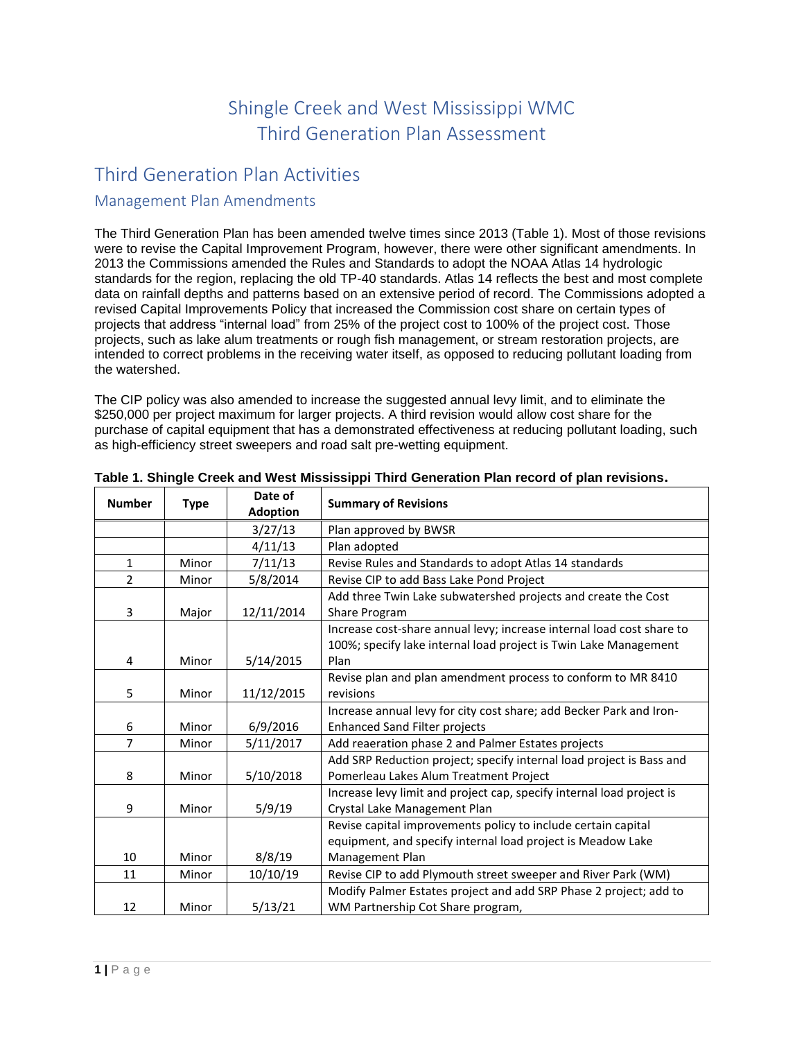# Shingle Creek and West Mississippi WMC Third Generation Plan Assessment

# Third Generation Plan Activities

## Management Plan Amendments

The Third Generation Plan has been amended twelve times since 2013 (Table 1). Most of those revisions were to revise the Capital Improvement Program, however, there were other significant amendments. In 2013 the Commissions amended the Rules and Standards to adopt the NOAA Atlas 14 hydrologic standards for the region, replacing the old TP-40 standards. Atlas 14 reflects the best and most complete data on rainfall depths and patterns based on an extensive period of record. The Commissions adopted a revised Capital Improvements Policy that increased the Commission cost share on certain types of projects that address "internal load" from 25% of the project cost to 100% of the project cost. Those projects, such as lake alum treatments or rough fish management, or stream restoration projects, are intended to correct problems in the receiving water itself, as opposed to reducing pollutant loading from the watershed.

The CIP policy was also amended to increase the suggested annual levy limit, and to eliminate the \$250,000 per project maximum for larger projects. A third revision would allow cost share for the purchase of capital equipment that has a demonstrated effectiveness at reducing pollutant loading, such as high-efficiency street sweepers and road salt pre-wetting equipment.

| <b>Number</b>  | <b>Type</b> | Date of         | <b>Summary of Revisions</b>                                                           |
|----------------|-------------|-----------------|---------------------------------------------------------------------------------------|
|                |             | <b>Adoption</b> |                                                                                       |
|                |             | 3/27/13         | Plan approved by BWSR                                                                 |
|                |             | 4/11/13         | Plan adopted                                                                          |
| $\mathbf{1}$   | Minor       | 7/11/13         | Revise Rules and Standards to adopt Atlas 14 standards                                |
| $\overline{2}$ | Minor       | 5/8/2014        | Revise CIP to add Bass Lake Pond Project                                              |
| 3              | Major       | 12/11/2014      | Add three Twin Lake subwatershed projects and create the Cost<br><b>Share Program</b> |
|                |             |                 | Increase cost-share annual levy; increase internal load cost share to                 |
|                |             |                 | 100%; specify lake internal load project is Twin Lake Management                      |
| 4              | Minor       | 5/14/2015       | Plan                                                                                  |
|                |             |                 | Revise plan and plan amendment process to conform to MR 8410                          |
| 5              | Minor       | 11/12/2015      | revisions                                                                             |
|                |             |                 | Increase annual levy for city cost share; add Becker Park and Iron-                   |
| 6              | Minor       | 6/9/2016        | <b>Enhanced Sand Filter projects</b>                                                  |
| 7              | Minor       | 5/11/2017       | Add reaeration phase 2 and Palmer Estates projects                                    |
|                |             |                 | Add SRP Reduction project; specify internal load project is Bass and                  |
| 8              | Minor       | 5/10/2018       | Pomerleau Lakes Alum Treatment Project                                                |
|                |             |                 | Increase levy limit and project cap, specify internal load project is                 |
| 9              | Minor       | 5/9/19          | Crystal Lake Management Plan                                                          |
|                |             |                 | Revise capital improvements policy to include certain capital                         |
|                |             |                 | equipment, and specify internal load project is Meadow Lake                           |
| 10             | Minor       | 8/8/19          | Management Plan                                                                       |
| 11             | Minor       | 10/10/19        | Revise CIP to add Plymouth street sweeper and River Park (WM)                         |
|                |             |                 | Modify Palmer Estates project and add SRP Phase 2 project; add to                     |
| 12             | Minor       | 5/13/21         | WM Partnership Cot Share program,                                                     |

**Table 1. Shingle Creek and West Mississippi Third Generation Plan record of plan revisions.**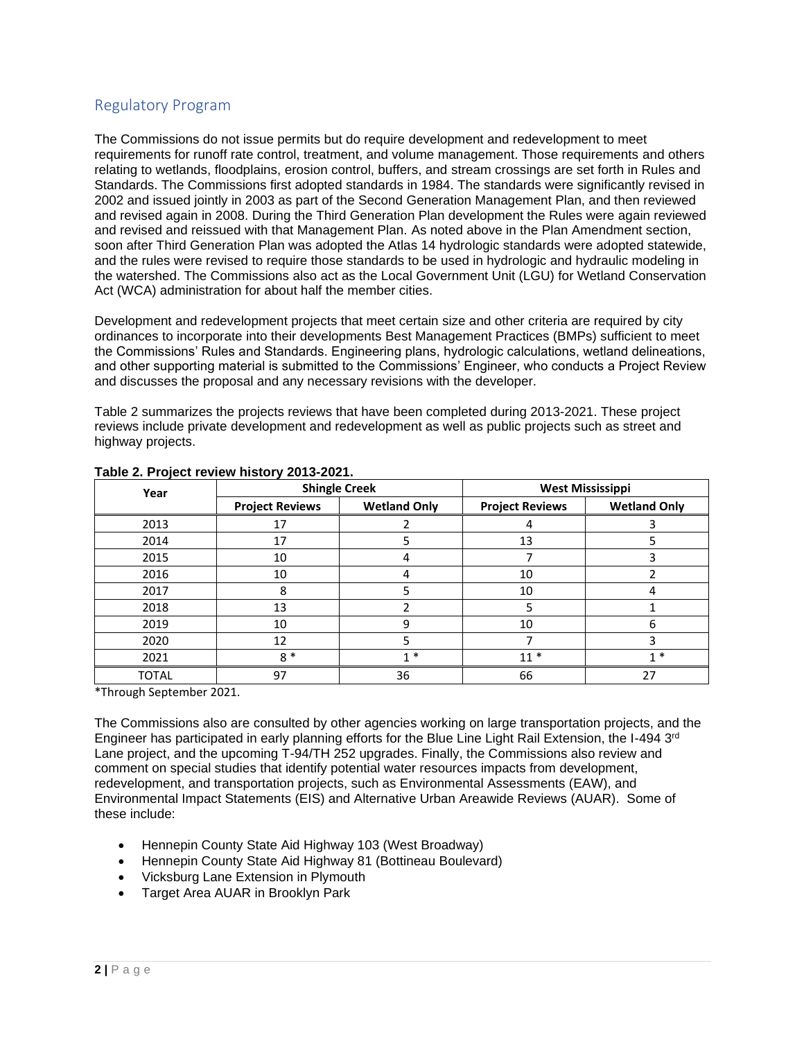# Regulatory Program

The Commissions do not issue permits but do require development and redevelopment to meet requirements for runoff rate control, treatment, and volume management. Those requirements and others relating to wetlands, floodplains, erosion control, buffers, and stream crossings are set forth in Rules and Standards. The Commissions first adopted standards in 1984. The standards were significantly revised in 2002 and issued jointly in 2003 as part of the Second Generation Management Plan, and then reviewed and revised again in 2008. During the Third Generation Plan development the Rules were again reviewed and revised and reissued with that Management Plan. As noted above in the Plan Amendment section, soon after Third Generation Plan was adopted the Atlas 14 hydrologic standards were adopted statewide, and the rules were revised to require those standards to be used in hydrologic and hydraulic modeling in the watershed. The Commissions also act as the Local Government Unit (LGU) for Wetland Conservation Act (WCA) administration for about half the member cities.

Development and redevelopment projects that meet certain size and other criteria are required by city ordinances to incorporate into their developments Best Management Practices (BMPs) sufficient to meet the Commissions' Rules and Standards. Engineering plans, hydrologic calculations, wetland delineations, and other supporting material is submitted to the Commissions' Engineer, who conducts a Project Review and discusses the proposal and any necessary revisions with the developer.

Table 2 summarizes the projects reviews that have been completed during 2013-2021. These project reviews include private development and redevelopment as well as public projects such as street and highway projects.

| Year         |                        | <b>Shingle Creek</b> | <b>West Mississippi</b> |                     |  |
|--------------|------------------------|----------------------|-------------------------|---------------------|--|
|              | <b>Project Reviews</b> | <b>Wetland Only</b>  | <b>Project Reviews</b>  | <b>Wetland Only</b> |  |
| 2013         | 17                     |                      |                         |                     |  |
| 2014         | 17                     |                      | 13                      |                     |  |
| 2015         | 10                     |                      |                         |                     |  |
| 2016         | 10                     |                      | 10                      |                     |  |
| 2017         | 8                      |                      | 10                      |                     |  |
| 2018         | 13                     |                      | 5                       |                     |  |
| 2019         | 10                     | 9                    | 10                      | 6                   |  |
| 2020         | 12                     |                      |                         |                     |  |
| 2021         | $8*$                   | $1 *$                | $11*$                   | $1 *$               |  |
| <b>TOTAL</b> | 97                     | 36                   | 66                      | 27                  |  |

#### **Table 2. Project review history 2013-2021.**

\*Through September 2021.

The Commissions also are consulted by other agencies working on large transportation projects, and the Engineer has participated in early planning efforts for the Blue Line Light Rail Extension, the I-494 3rd Lane project, and the upcoming T-94/TH 252 upgrades. Finally, the Commissions also review and comment on special studies that identify potential water resources impacts from development, redevelopment, and transportation projects, such as Environmental Assessments (EAW), and Environmental Impact Statements (EIS) and Alternative Urban Areawide Reviews (AUAR). Some of these include:

- Hennepin County State Aid Highway 103 (West Broadway)
- Hennepin County State Aid Highway 81 (Bottineau Boulevard)
- Vicksburg Lane Extension in Plymouth
- Target Area AUAR in Brooklyn Park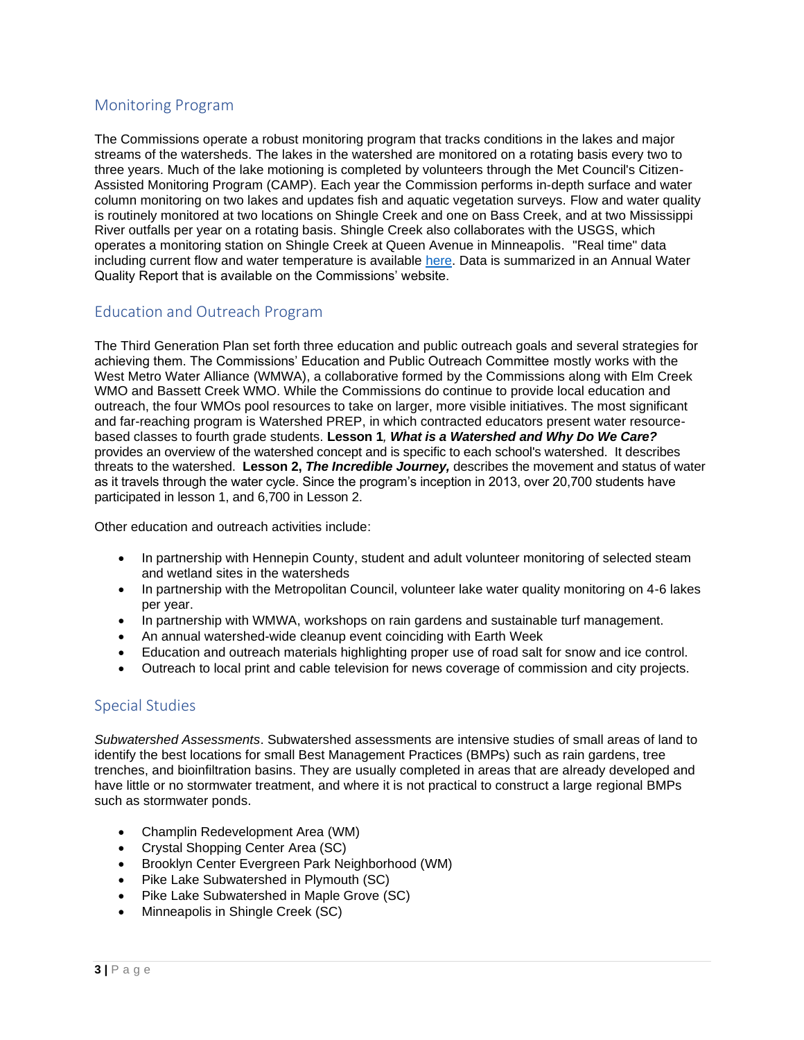# Monitoring Program

The Commissions operate a robust monitoring program that tracks conditions in the lakes and major streams of the watersheds. The lakes in the watershed are monitored on a rotating basis every two to three years. Much of the lake motioning is completed by volunteers through the Met Council's Citizen-Assisted Monitoring Program (CAMP). Each year the Commission performs in-depth surface and water column monitoring on two lakes and updates fish and aquatic vegetation surveys. Flow and water quality is routinely monitored at two locations on Shingle Creek and one on Bass Creek, and at two Mississippi River outfalls per year on a rotating basis. Shingle Creek also collaborates with the USGS, which operates a monitoring station on Shingle Creek at Queen Avenue in Minneapolis. "Real time" data including current flow and water temperature is available [here.](https://waterdata.usgs.gov/mn/nwis/uv?05288705) Data is summarized in an Annual Water Quality Report that is available on the Commissions' website.

## Education and Outreach Program

The Third Generation Plan set forth three education and public outreach goals and several strategies for achieving them. The Commissions' Education and Public Outreach Committee mostly works with the West Metro Water Alliance (WMWA), a collaborative formed by the Commissions along with Elm Creek WMO and Bassett Creek WMO. While the Commissions do continue to provide local education and outreach, the four WMOs pool resources to take on larger, more visible initiatives. The most significant and far-reaching program is Watershed PREP, in which contracted educators present water resourcebased classes to fourth grade students. **Lesson 1***, What is a Watershed and Why Do We Care?* provides an overview of the watershed concept and is specific to each school's watershed. It describes threats to the watershed. **Lesson 2,** *The Incredible Journey,* describes the movement and status of water as it travels through the water cycle. Since the program's inception in 2013, over 20,700 students have participated in lesson 1, and 6,700 in Lesson 2.

Other education and outreach activities include:

- In partnership with Hennepin County, student and adult volunteer monitoring of selected steam and wetland sites in the watersheds
- In partnership with the Metropolitan Council, volunteer lake water quality monitoring on 4-6 lakes per year.
- In partnership with WMWA, workshops on rain gardens and sustainable turf management.
- An annual watershed-wide cleanup event coinciding with Earth Week
- Education and outreach materials highlighting proper use of road salt for snow and ice control.
- Outreach to local print and cable television for news coverage of commission and city projects.

## Special Studies

*Subwatershed Assessments*. Subwatershed assessments are intensive studies of small areas of land to identify the best locations for small Best Management Practices (BMPs) such as rain gardens, tree trenches, and bioinfiltration basins. They are usually completed in areas that are already developed and have little or no stormwater treatment, and where it is not practical to construct a large regional BMPs such as stormwater ponds.

- Champlin Redevelopment Area (WM)
- Crystal Shopping Center Area (SC)
- Brooklyn Center Evergreen Park Neighborhood (WM)
- Pike Lake Subwatershed in Plymouth (SC)
- Pike Lake Subwatershed in Maple Grove (SC)
- Minneapolis in Shingle Creek (SC)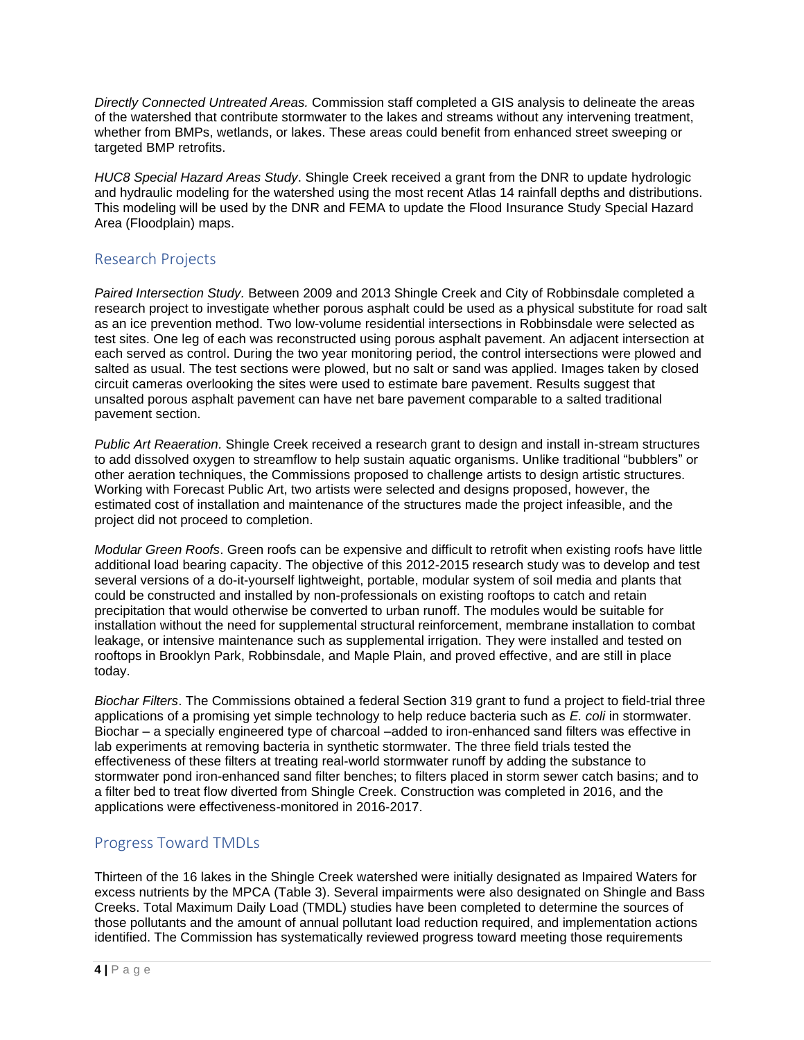*Directly Connected Untreated Areas.* Commission staff completed a GIS analysis to delineate the areas of the watershed that contribute stormwater to the lakes and streams without any intervening treatment, whether from BMPs, wetlands, or lakes. These areas could benefit from enhanced street sweeping or targeted BMP retrofits.

*HUC8 Special Hazard Areas Study*. Shingle Creek received a grant from the DNR to update hydrologic and hydraulic modeling for the watershed using the most recent Atlas 14 rainfall depths and distributions. This modeling will be used by the DNR and FEMA to update the Flood Insurance Study Special Hazard Area (Floodplain) maps.

# Research Projects

*Paired Intersection Study.* Between 2009 and 2013 Shingle Creek and City of Robbinsdale completed a research project to investigate whether porous asphalt could be used as a physical substitute for road salt as an ice prevention method. Two low-volume residential intersections in Robbinsdale were selected as test sites. One leg of each was reconstructed using porous asphalt pavement. An adjacent intersection at each served as control. During the two year monitoring period, the control intersections were plowed and salted as usual. The test sections were plowed, but no salt or sand was applied. Images taken by closed circuit cameras overlooking the sites were used to estimate bare pavement. Results suggest that unsalted porous asphalt pavement can have net bare pavement comparable to a salted traditional pavement section.

*Public Art Reaeration.* Shingle Creek received a research grant to design and install in-stream structures to add dissolved oxygen to streamflow to help sustain aquatic organisms. Unlike traditional "bubblers" or other aeration techniques, the Commissions proposed to challenge artists to design artistic structures. Working with Forecast Public Art, two artists were selected and designs proposed, however, the estimated cost of installation and maintenance of the structures made the project infeasible, and the project did not proceed to completion.

*Modular Green Roofs*. Green roofs can be expensive and difficult to retrofit when existing roofs have little additional load bearing capacity. The objective of this 2012-2015 research study was to develop and test several versions of a do-it-yourself lightweight, portable, modular system of soil media and plants that could be constructed and installed by non-professionals on existing rooftops to catch and retain precipitation that would otherwise be converted to urban runoff. The modules would be suitable for installation without the need for supplemental structural reinforcement, membrane installation to combat leakage, or intensive maintenance such as supplemental irrigation. They were installed and tested on rooftops in Brooklyn Park, Robbinsdale, and Maple Plain, and proved effective, and are still in place today.

*Biochar Filters*. The Commissions obtained a federal Section 319 grant to fund a project to field-trial three applications of a promising yet simple technology to help reduce bacteria such as *E. coli* in stormwater. Biochar – a specially engineered type of charcoal –added to iron-enhanced sand filters was effective in lab experiments at removing bacteria in synthetic stormwater. The three field trials tested the effectiveness of these filters at treating real-world stormwater runoff by adding the substance to stormwater pond iron-enhanced sand filter benches; to filters placed in storm sewer catch basins; and to a filter bed to treat flow diverted from Shingle Creek. Construction was completed in 2016, and the applications were effectiveness-monitored in 2016-2017.

# Progress Toward TMDLs

Thirteen of the 16 lakes in the Shingle Creek watershed were initially designated as Impaired Waters for excess nutrients by the MPCA (Table 3). Several impairments were also designated on Shingle and Bass Creeks. Total Maximum Daily Load (TMDL) studies have been completed to determine the sources of those pollutants and the amount of annual pollutant load reduction required, and implementation actions identified. The Commission has systematically reviewed progress toward meeting those requirements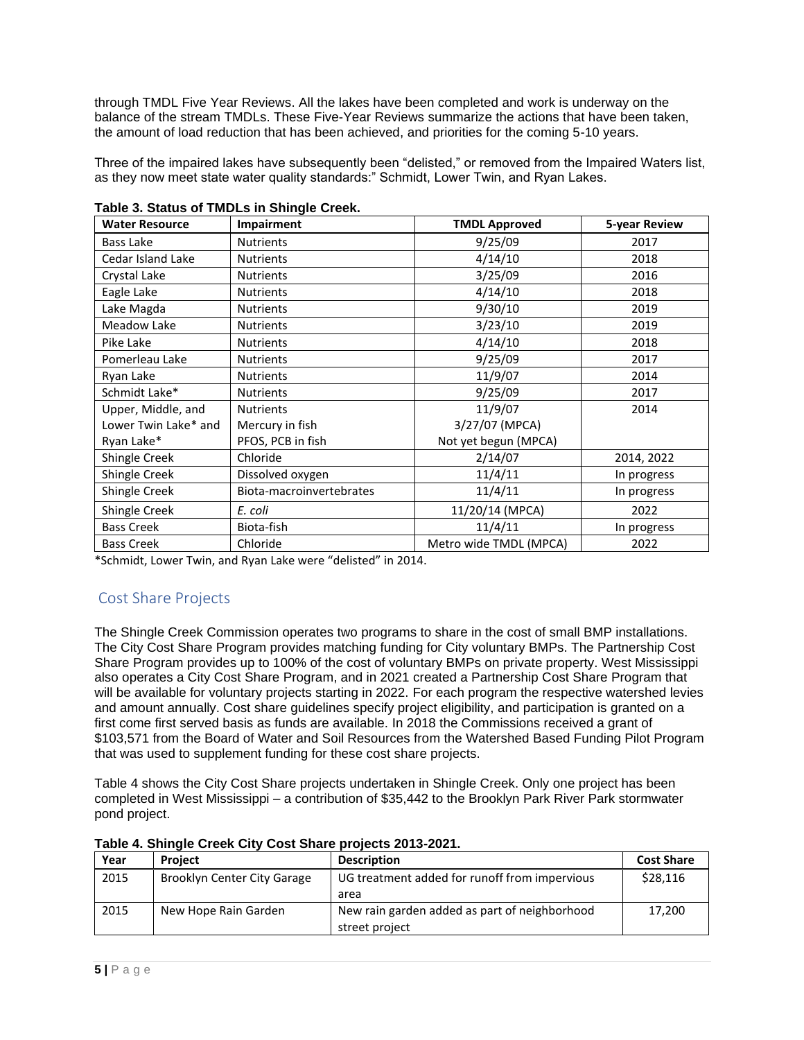through TMDL Five Year Reviews. All the lakes have been completed and work is underway on the balance of the stream TMDLs. These Five-Year Reviews summarize the actions that have been taken, the amount of load reduction that has been achieved, and priorities for the coming 5-10 years.

Three of the impaired lakes have subsequently been "delisted," or removed from the Impaired Waters list, as they now meet state water quality standards:" Schmidt, Lower Twin, and Ryan Lakes.

| <b>Water Resource</b> | Impairment               | <b>TMDL Approved</b>   | 5-year Review |
|-----------------------|--------------------------|------------------------|---------------|
| Bass Lake             | <b>Nutrients</b>         | 9/25/09                | 2017          |
| Cedar Island Lake     | <b>Nutrients</b>         | 4/14/10                | 2018          |
| Crystal Lake          | <b>Nutrients</b>         | 3/25/09                | 2016          |
| Eagle Lake            | <b>Nutrients</b>         | 4/14/10                | 2018          |
| Lake Magda            | <b>Nutrients</b>         | 9/30/10                | 2019          |
| Meadow Lake           | <b>Nutrients</b>         | 3/23/10                | 2019          |
| Pike Lake             | <b>Nutrients</b>         | 4/14/10                | 2018          |
| Pomerleau Lake        | <b>Nutrients</b>         | 9/25/09                | 2017          |
| Ryan Lake             | <b>Nutrients</b>         | 11/9/07                | 2014          |
| Schmidt Lake*         | <b>Nutrients</b>         | 9/25/09                | 2017          |
| Upper, Middle, and    | <b>Nutrients</b>         | 11/9/07                | 2014          |
| Lower Twin Lake* and  | Mercury in fish          | 3/27/07 (MPCA)         |               |
| Ryan Lake*            | PFOS, PCB in fish        | Not yet begun (MPCA)   |               |
| Shingle Creek         | Chloride                 | 2/14/07                | 2014, 2022    |
| Shingle Creek         | Dissolved oxygen         | 11/4/11                | In progress   |
| Shingle Creek         | Biota-macroinvertebrates | 11/4/11                | In progress   |
| Shingle Creek         | E. coli                  | 11/20/14 (MPCA)        | 2022          |
| <b>Bass Creek</b>     | Biota-fish               | 11/4/11                | In progress   |
| <b>Bass Creek</b>     | Chloride                 | Metro wide TMDL (MPCA) | 2022          |

\*Schmidt, Lower Twin, and Ryan Lake were "delisted" in 2014.

# Cost Share Projects

The Shingle Creek Commission operates two programs to share in the cost of small BMP installations. The City Cost Share Program provides matching funding for City voluntary BMPs. The Partnership Cost Share Program provides up to 100% of the cost of voluntary BMPs on private property. West Mississippi also operates a City Cost Share Program, and in 2021 created a Partnership Cost Share Program that will be available for voluntary projects starting in 2022. For each program the respective watershed levies and amount annually. Cost share guidelines specify project eligibility, and participation is granted on a first come first served basis as funds are available. In 2018 the Commissions received a grant of \$103,571 from the Board of Water and Soil Resources from the Watershed Based Funding Pilot Program that was used to supplement funding for these cost share projects.

Table 4 shows the City Cost Share projects undertaken in Shingle Creek. Only one project has been completed in West Mississippi – a contribution of \$35,442 to the Brooklyn Park River Park stormwater pond project.

| Year | <b>Project</b>                     | <b>Description</b>                            | <b>Cost Share</b> |  |  |  |  |  |
|------|------------------------------------|-----------------------------------------------|-------------------|--|--|--|--|--|
| 2015 | <b>Brooklyn Center City Garage</b> | UG treatment added for runoff from impervious | \$28,116          |  |  |  |  |  |
|      |                                    | area                                          |                   |  |  |  |  |  |
| 2015 | New Hope Rain Garden               | New rain garden added as part of neighborhood | 17,200            |  |  |  |  |  |
|      |                                    | street project                                |                   |  |  |  |  |  |

#### **Table 4. Shingle Creek City Cost Share projects 2013-2021.**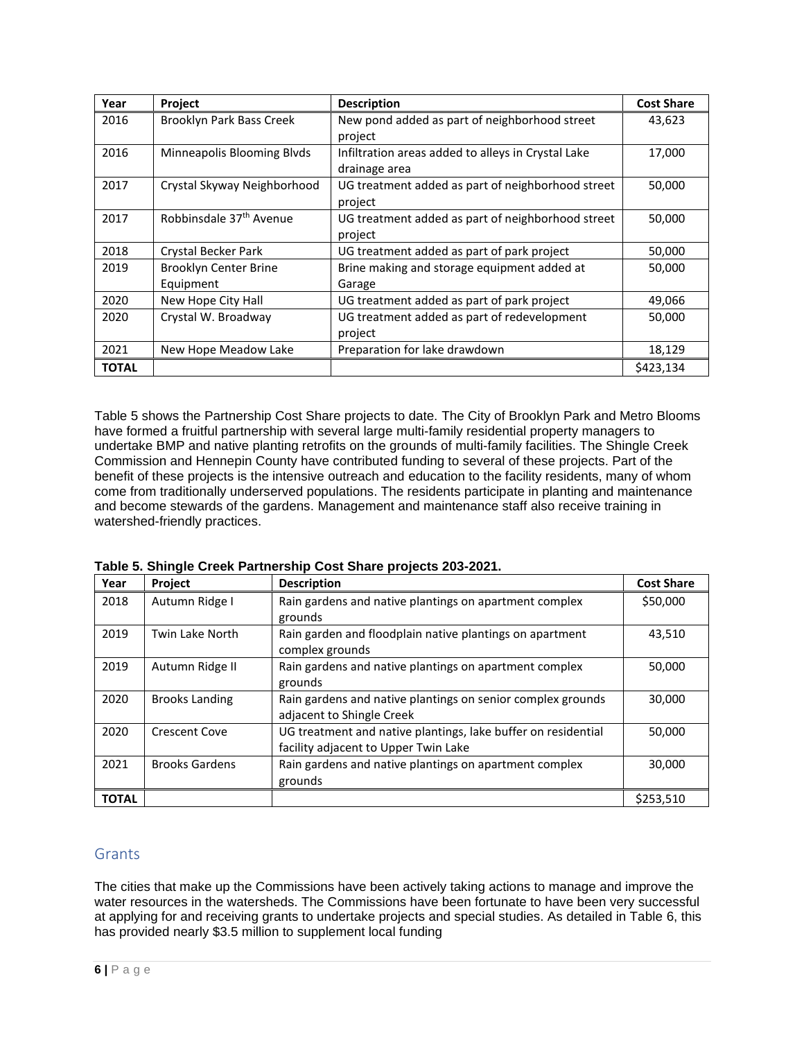| Year         | Project                             | <b>Description</b>                                 | <b>Cost Share</b> |
|--------------|-------------------------------------|----------------------------------------------------|-------------------|
| 2016         | Brooklyn Park Bass Creek            | New pond added as part of neighborhood street      | 43,623            |
|              |                                     | project                                            |                   |
| 2016         | Minneapolis Blooming Blvds          | Infiltration areas added to alleys in Crystal Lake | 17,000            |
|              |                                     | drainage area                                      |                   |
| 2017         | Crystal Skyway Neighborhood         | UG treatment added as part of neighborhood street  | 50,000            |
|              |                                     | project                                            |                   |
| 2017         | Robbinsdale 37 <sup>th</sup> Avenue | UG treatment added as part of neighborhood street  | 50,000            |
|              |                                     | project                                            |                   |
| 2018         | Crystal Becker Park                 | UG treatment added as part of park project         | 50,000            |
| 2019         | Brooklyn Center Brine               | Brine making and storage equipment added at        | 50,000            |
|              | Equipment                           | Garage                                             |                   |
| 2020         | New Hope City Hall                  | UG treatment added as part of park project         | 49,066            |
| 2020         | Crystal W. Broadway                 | UG treatment added as part of redevelopment        | 50,000            |
|              |                                     | project                                            |                   |
| 2021         | New Hope Meadow Lake                | Preparation for lake drawdown                      | 18,129            |
| <b>TOTAL</b> |                                     |                                                    | \$423,134         |

Table 5 shows the Partnership Cost Share projects to date. The City of Brooklyn Park and Metro Blooms have formed a fruitful partnership with several large multi-family residential property managers to undertake BMP and native planting retrofits on the grounds of multi-family facilities. The Shingle Creek Commission and Hennepin County have contributed funding to several of these projects. Part of the benefit of these projects is the intensive outreach and education to the facility residents, many of whom come from traditionally underserved populations. The residents participate in planting and maintenance and become stewards of the gardens. Management and maintenance staff also receive training in watershed-friendly practices.

| Year         | Project               | <b>Description</b>                                            | <b>Cost Share</b> |
|--------------|-----------------------|---------------------------------------------------------------|-------------------|
| 2018         | Autumn Ridge I        | Rain gardens and native plantings on apartment complex        | \$50,000          |
|              |                       | grounds                                                       |                   |
| 2019         | Twin Lake North       | Rain garden and floodplain native plantings on apartment      | 43,510            |
|              |                       | complex grounds                                               |                   |
| 2019         | Autumn Ridge II       | Rain gardens and native plantings on apartment complex        | 50,000            |
|              |                       | grounds                                                       |                   |
| 2020         | <b>Brooks Landing</b> | Rain gardens and native plantings on senior complex grounds   | 30,000            |
|              |                       | adjacent to Shingle Creek                                     |                   |
| 2020         | <b>Crescent Cove</b>  | UG treatment and native plantings, lake buffer on residential | 50,000            |
|              |                       | facility adjacent to Upper Twin Lake                          |                   |
| 2021         | <b>Brooks Gardens</b> | Rain gardens and native plantings on apartment complex        | 30,000            |
|              |                       | grounds                                                       |                   |
| <b>TOTAL</b> |                       |                                                               | \$253,510         |

**Table 5. Shingle Creek Partnership Cost Share projects 203-2021.**

## **Grants**

The cities that make up the Commissions have been actively taking actions to manage and improve the water resources in the watersheds. The Commissions have been fortunate to have been very successful at applying for and receiving grants to undertake projects and special studies. As detailed in Table 6, this has provided nearly \$3.5 million to supplement local funding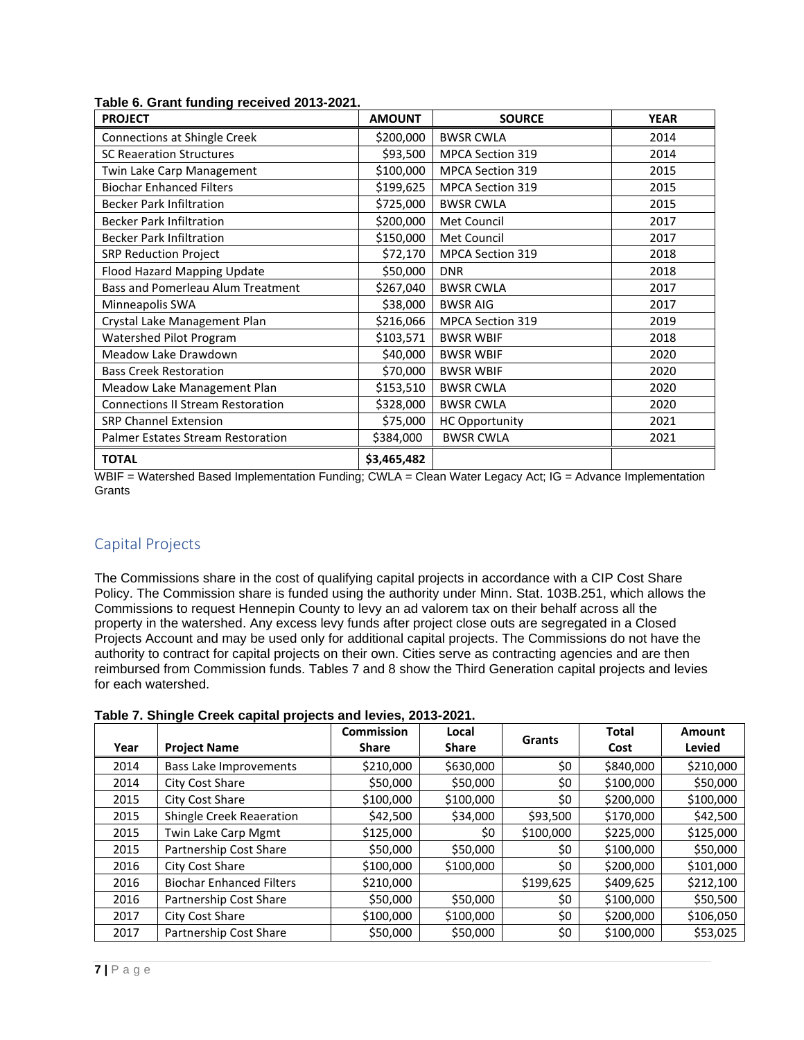| <b>PROJECT</b>                           | <b>AMOUNT</b> | <b>SOURCE</b>           | <b>YEAR</b> |
|------------------------------------------|---------------|-------------------------|-------------|
| Connections at Shingle Creek             | \$200,000     | <b>BWSR CWLA</b>        | 2014        |
| <b>SC Reaeration Structures</b>          | \$93,500      | <b>MPCA Section 319</b> | 2014        |
| Twin Lake Carp Management                | \$100,000     | MPCA Section 319        | 2015        |
| <b>Biochar Enhanced Filters</b>          | \$199,625     | <b>MPCA Section 319</b> | 2015        |
| <b>Becker Park Infiltration</b>          | \$725,000     | <b>BWSR CWLA</b>        | 2015        |
| <b>Becker Park Infiltration</b>          | \$200,000     | Met Council             | 2017        |
| <b>Becker Park Infiltration</b>          | \$150,000     | Met Council             | 2017        |
| <b>SRP Reduction Project</b>             | \$72,170      | MPCA Section 319        | 2018        |
| Flood Hazard Mapping Update              | \$50,000      | <b>DNR</b>              | 2018        |
| Bass and Pomerleau Alum Treatment        | \$267,040     | <b>BWSR CWLA</b>        | 2017        |
| Minneapolis SWA                          | \$38,000      | <b>BWSR AIG</b>         | 2017        |
| Crystal Lake Management Plan             | \$216,066     | <b>MPCA Section 319</b> | 2019        |
| Watershed Pilot Program                  | \$103,571     | <b>BWSR WBIF</b>        | 2018        |
| Meadow Lake Drawdown                     | \$40,000      | <b>BWSR WBIF</b>        | 2020        |
| <b>Bass Creek Restoration</b>            | \$70,000      | <b>BWSR WBIF</b>        | 2020        |
| Meadow Lake Management Plan              | \$153,510     | <b>BWSR CWLA</b>        | 2020        |
| <b>Connections II Stream Restoration</b> | \$328,000     | <b>BWSR CWLA</b>        | 2020        |
| <b>SRP Channel Extension</b>             | \$75,000      | <b>HC Opportunity</b>   | 2021        |
| Palmer Estates Stream Restoration        | \$384,000     | <b>BWSR CWLA</b>        | 2021        |
| <b>TOTAL</b>                             | \$3,465,482   |                         |             |

**Table 6. Grant funding received 2013-2021.**

WBIF = Watershed Based Implementation Funding; CWLA = Clean Water Legacy Act; IG = Advance Implementation **Grants** 

# Capital Projects

The Commissions share in the cost of qualifying capital projects in accordance with a CIP Cost Share Policy. The Commission share is funded using the authority under Minn. Stat. 103B.251, which allows the Commissions to request Hennepin County to levy an ad valorem tax on their behalf across all the property in the watershed. Any excess levy funds after project close outs are segregated in a Closed Projects Account and may be used only for additional capital projects. The Commissions do not have the authority to contract for capital projects on their own. Cities serve as contracting agencies and are then reimbursed from Commission funds. Tables 7 and 8 show the Third Generation capital projects and levies for each watershed.

| Table 7. Shingle Creek capital projects and levies, 2013-2021. |  |  |  |  |  |
|----------------------------------------------------------------|--|--|--|--|--|
|----------------------------------------------------------------|--|--|--|--|--|

|      |                                 | <b>Commission</b> | Local        | <b>Grants</b> | <b>Total</b> | Amount    |
|------|---------------------------------|-------------------|--------------|---------------|--------------|-----------|
| Year | <b>Project Name</b>             | <b>Share</b>      | <b>Share</b> |               | Cost         | Levied    |
| 2014 | <b>Bass Lake Improvements</b>   | \$210,000         | \$630,000    | \$0           | \$840,000    | \$210,000 |
| 2014 | City Cost Share                 | \$50,000          | \$50,000     | \$0           | \$100,000    | \$50,000  |
| 2015 | City Cost Share                 | \$100,000         | \$100,000    | \$0           | \$200,000    | \$100,000 |
| 2015 | Shingle Creek Reaeration        | \$42,500          | \$34,000     | \$93,500      | \$170,000    | \$42,500  |
| 2015 | Twin Lake Carp Mgmt             | \$125,000         | \$0          | \$100,000     | \$225,000    | \$125,000 |
| 2015 | Partnership Cost Share          | \$50,000          | \$50,000     | \$0           | \$100,000    | \$50,000  |
| 2016 | City Cost Share                 | \$100,000         | \$100,000    | \$0           | \$200,000    | \$101,000 |
| 2016 | <b>Biochar Enhanced Filters</b> | \$210,000         |              | \$199,625     | \$409,625    | \$212,100 |
| 2016 | Partnership Cost Share          | \$50,000          | \$50,000     | \$0           | \$100,000    | \$50,500  |
| 2017 | City Cost Share                 | \$100,000         | \$100,000    | \$0           | \$200,000    | \$106,050 |
| 2017 | Partnership Cost Share          | \$50,000          | \$50,000     | \$0           | \$100,000    | \$53,025  |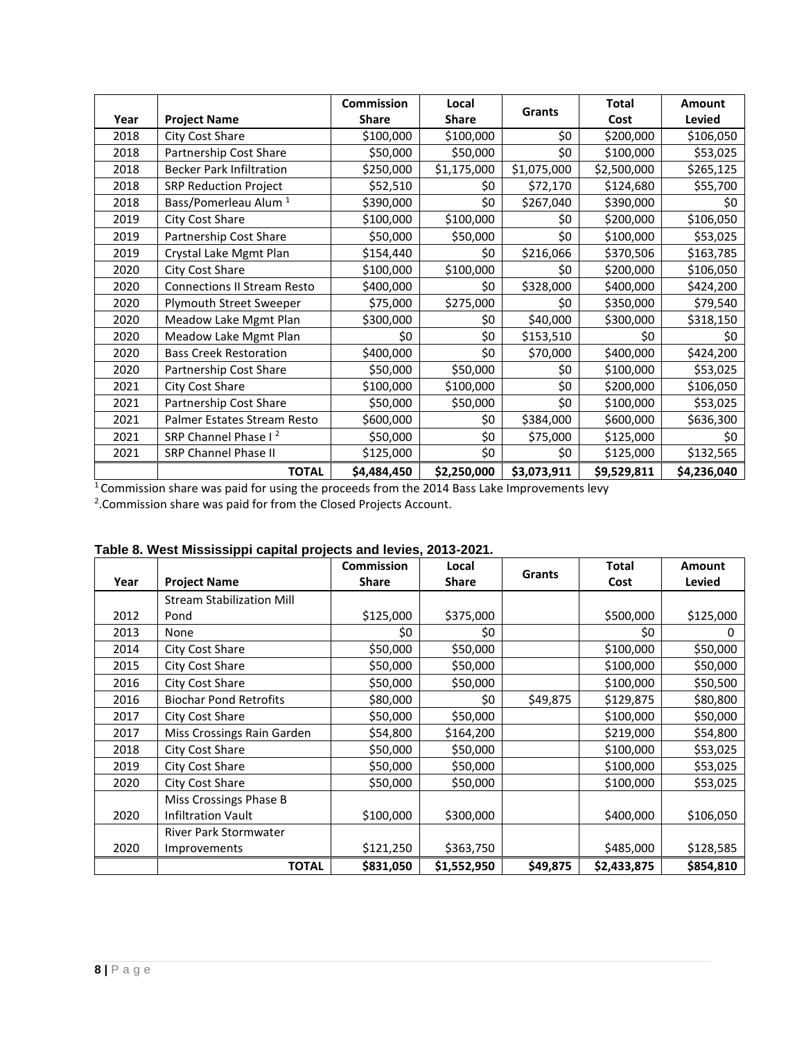|      |                                    | <b>Commission</b> | Local        | <b>Grants</b> | <b>Total</b> | Amount      |
|------|------------------------------------|-------------------|--------------|---------------|--------------|-------------|
| Year | <b>Project Name</b>                | <b>Share</b>      | <b>Share</b> |               | Cost         | Levied      |
| 2018 | City Cost Share                    | \$100,000         | \$100,000    | \$0           | \$200,000    | \$106,050   |
| 2018 | Partnership Cost Share             | \$50,000          | \$50,000     | \$0           | \$100,000    | \$53,025    |
| 2018 | <b>Becker Park Infiltration</b>    | \$250,000         | \$1,175,000  | \$1,075,000   | \$2,500,000  | \$265,125   |
| 2018 | <b>SRP Reduction Project</b>       | \$52,510          | \$0          | \$72,170      | \$124,680    | \$55,700    |
| 2018 | Bass/Pomerleau Alum <sup>1</sup>   | \$390,000         | \$0          | \$267,040     | \$390,000    | \$0         |
| 2019 | City Cost Share                    | \$100,000         | \$100,000    | \$0           | \$200,000    | \$106,050   |
| 2019 | Partnership Cost Share             | \$50,000          | \$50,000     | \$0           | \$100,000    | \$53,025    |
| 2019 | Crystal Lake Mgmt Plan             | \$154,440         | \$0          | \$216,066     | \$370,506    | \$163,785   |
| 2020 | City Cost Share                    | \$100,000         | \$100,000    | \$0           | \$200,000    | \$106,050   |
| 2020 | <b>Connections II Stream Resto</b> | \$400,000         | \$0          | \$328,000     | \$400,000    | \$424,200   |
| 2020 | <b>Plymouth Street Sweeper</b>     | \$75,000          | \$275,000    | \$0           | \$350,000    | \$79,540    |
| 2020 | Meadow Lake Mgmt Plan              | \$300,000         | \$0          | \$40,000      | \$300,000    | \$318,150   |
| 2020 | Meadow Lake Mgmt Plan              | \$0               | \$0          | \$153,510     | \$0          | \$0         |
| 2020 | <b>Bass Creek Restoration</b>      | \$400,000         | \$0          | \$70,000      | \$400,000    | \$424,200   |
| 2020 | Partnership Cost Share             | \$50,000          | \$50,000     | \$0           | \$100,000    | \$53,025    |
| 2021 | City Cost Share                    | \$100,000         | \$100,000    | \$0           | \$200,000    | \$106,050   |
| 2021 | Partnership Cost Share             | \$50,000          | \$50,000     | \$0           | \$100,000    | \$53,025    |
| 2021 | Palmer Estates Stream Resto        | \$600,000         | \$0          | \$384,000     | \$600,000    | \$636,300   |
| 2021 | SRP Channel Phase I <sup>2</sup>   | \$50,000          | \$0          | \$75,000      | \$125,000    | \$0         |
| 2021 | <b>SRP Channel Phase II</b>        | \$125,000         | \$0          | \$0           | \$125,000    | \$132,565   |
|      | <b>TOTAL</b>                       | \$4,484,450       | \$2,250,000  | \$3,073,911   | \$9,529,811  | \$4,236,040 |

<sup>1</sup> Commission share was paid for using the proceeds from the 2014 Bass Lake Improvements levy<br><sup>2</sup>.Commission share was paid for from the Closed Projects Account.

|      |                                  | <b>Commission</b> | Local       | Grants   | Total       | <b>Amount</b> |
|------|----------------------------------|-------------------|-------------|----------|-------------|---------------|
| Year | <b>Project Name</b>              | <b>Share</b>      | Share       |          | Cost        | Levied        |
|      | <b>Stream Stabilization Mill</b> |                   |             |          |             |               |
| 2012 | Pond                             | \$125,000         | \$375,000   |          | \$500,000   | \$125,000     |
| 2013 | None                             | \$0               | \$0         |          | \$0         | 0             |
| 2014 | City Cost Share                  | \$50,000          | \$50,000    |          | \$100,000   | \$50,000      |
| 2015 | City Cost Share                  | \$50,000          | \$50,000    |          | \$100,000   | \$50,000      |
| 2016 | City Cost Share                  | \$50,000          | \$50,000    |          | \$100,000   | \$50,500      |
| 2016 | <b>Biochar Pond Retrofits</b>    | \$80,000          | \$0         | \$49,875 | \$129,875   | \$80,800      |
| 2017 | City Cost Share                  | \$50,000          | \$50,000    |          | \$100,000   | \$50,000      |
| 2017 | Miss Crossings Rain Garden       | \$54,800          | \$164,200   |          | \$219,000   | \$54,800      |
| 2018 | City Cost Share                  | \$50,000          | \$50,000    |          | \$100,000   | \$53,025      |
| 2019 | City Cost Share                  | \$50,000          | \$50,000    |          | \$100,000   | \$53,025      |
| 2020 | City Cost Share                  | \$50,000          | \$50,000    |          | \$100,000   | \$53,025      |
|      | Miss Crossings Phase B           |                   |             |          |             |               |
| 2020 | <b>Infiltration Vault</b>        | \$100,000         | \$300,000   |          | \$400,000   | \$106,050     |
|      | <b>River Park Stormwater</b>     |                   |             |          |             |               |
| 2020 | Improvements                     | \$121,250         | \$363,750   |          | \$485,000   | \$128,585     |
|      | <b>TOTAL</b>                     | \$831,050         | \$1,552,950 | \$49,875 | \$2,433,875 | \$854,810     |

## **Table 8. West Mississippi capital projects and levies, 2013-2021.**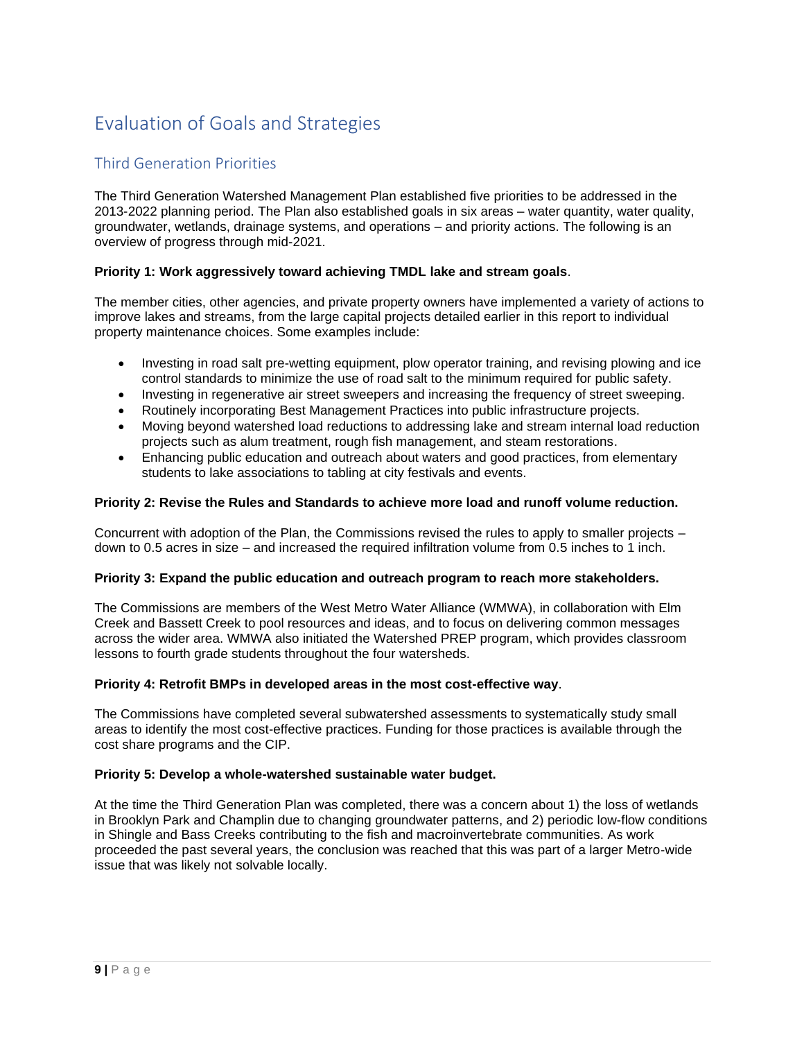# Evaluation of Goals and Strategies

# Third Generation Priorities

The Third Generation Watershed Management Plan established five priorities to be addressed in the 2013-2022 planning period. The Plan also established goals in six areas – water quantity, water quality, groundwater, wetlands, drainage systems, and operations – and priority actions. The following is an overview of progress through mid-2021.

### **Priority 1: Work aggressively toward achieving TMDL lake and stream goals**.

The member cities, other agencies, and private property owners have implemented a variety of actions to improve lakes and streams, from the large capital projects detailed earlier in this report to individual property maintenance choices. Some examples include:

- Investing in road salt pre-wetting equipment, plow operator training, and revising plowing and ice control standards to minimize the use of road salt to the minimum required for public safety.
- Investing in regenerative air street sweepers and increasing the frequency of street sweeping.
- Routinely incorporating Best Management Practices into public infrastructure projects.
- Moving beyond watershed load reductions to addressing lake and stream internal load reduction projects such as alum treatment, rough fish management, and steam restorations.
- Enhancing public education and outreach about waters and good practices, from elementary students to lake associations to tabling at city festivals and events.

#### **Priority 2: Revise the Rules and Standards to achieve more load and runoff volume reduction.**

Concurrent with adoption of the Plan, the Commissions revised the rules to apply to smaller projects – down to 0.5 acres in size – and increased the required infiltration volume from 0.5 inches to 1 inch.

#### **Priority 3: Expand the public education and outreach program to reach more stakeholders.**

The Commissions are members of the West Metro Water Alliance (WMWA), in collaboration with Elm Creek and Bassett Creek to pool resources and ideas, and to focus on delivering common messages across the wider area. WMWA also initiated the Watershed PREP program, which provides classroom lessons to fourth grade students throughout the four watersheds.

#### **Priority 4: Retrofit BMPs in developed areas in the most cost-effective way**.

The Commissions have completed several subwatershed assessments to systematically study small areas to identify the most cost-effective practices. Funding for those practices is available through the cost share programs and the CIP.

#### **Priority 5: Develop a whole-watershed sustainable water budget.**

At the time the Third Generation Plan was completed, there was a concern about 1) the loss of wetlands in Brooklyn Park and Champlin due to changing groundwater patterns, and 2) periodic low-flow conditions in Shingle and Bass Creeks contributing to the fish and macroinvertebrate communities. As work proceeded the past several years, the conclusion was reached that this was part of a larger Metro-wide issue that was likely not solvable locally.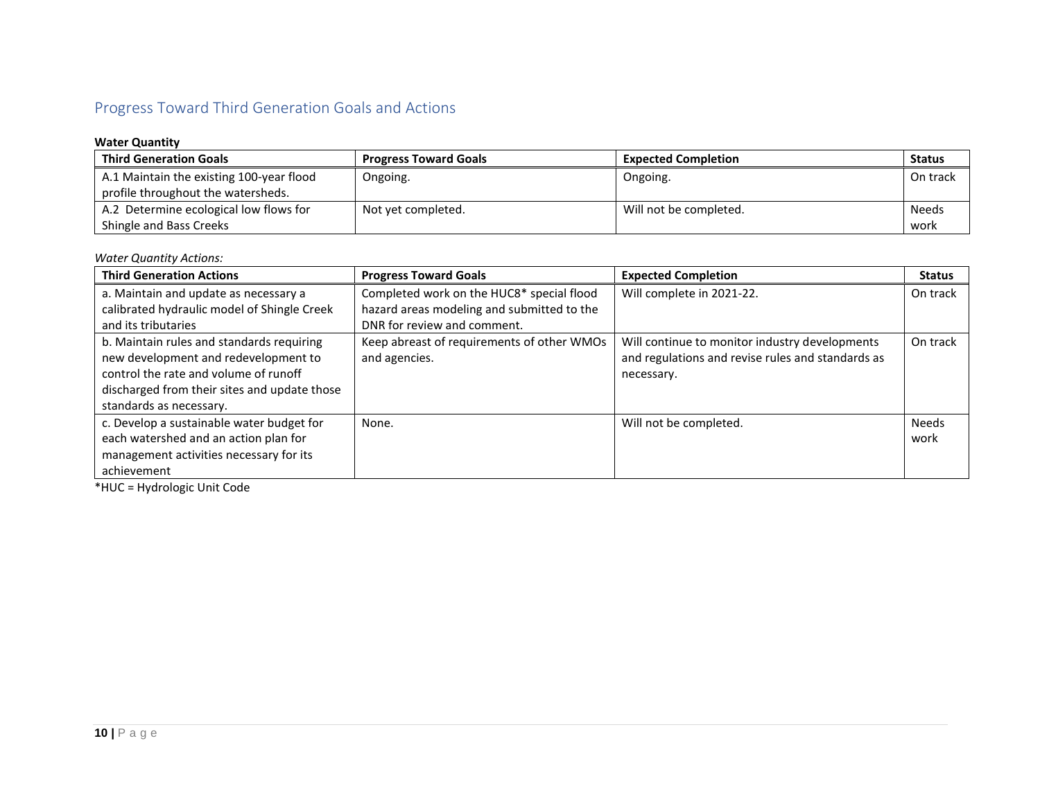# Progress Toward Third Generation Goals and Actions

## **Water Quantity**

| <b>Third Generation Goals</b>            | <b>Progress Toward Goals</b> | <b>Expected Completion</b> | <b>Status</b> |
|------------------------------------------|------------------------------|----------------------------|---------------|
| A.1 Maintain the existing 100-year flood | Ongoing.                     | Ongoing.                   | On track      |
| profile throughout the watersheds.       |                              |                            |               |
| A.2 Determine ecological low flows for   | Not yet completed.           | Will not be completed.     | <b>Needs</b>  |
| Shingle and Bass Creeks                  |                              |                            | work          |

#### *Water Quantity Actions:*

| <b>Third Generation Actions</b>                                                                                                                                                                       | <b>Progress Toward Goals</b>                                | <b>Expected Completion</b>                                                                                        | <b>Status</b>        |
|-------------------------------------------------------------------------------------------------------------------------------------------------------------------------------------------------------|-------------------------------------------------------------|-------------------------------------------------------------------------------------------------------------------|----------------------|
| a. Maintain and update as necessary a                                                                                                                                                                 | Completed work on the HUC8* special flood                   | Will complete in 2021-22.                                                                                         | On track             |
| calibrated hydraulic model of Shingle Creek                                                                                                                                                           | hazard areas modeling and submitted to the                  |                                                                                                                   |                      |
| and its tributaries                                                                                                                                                                                   | DNR for review and comment.                                 |                                                                                                                   |                      |
| b. Maintain rules and standards requiring<br>new development and redevelopment to<br>control the rate and volume of runoff<br>discharged from their sites and update those<br>standards as necessary. | Keep abreast of requirements of other WMOs<br>and agencies. | Will continue to monitor industry developments<br>and regulations and revise rules and standards as<br>necessary. | On track             |
| c. Develop a sustainable water budget for<br>each watershed and an action plan for<br>management activities necessary for its<br>achievement                                                          | None.                                                       | Will not be completed.                                                                                            | <b>Needs</b><br>work |

\*HUC = Hydrologic Unit Code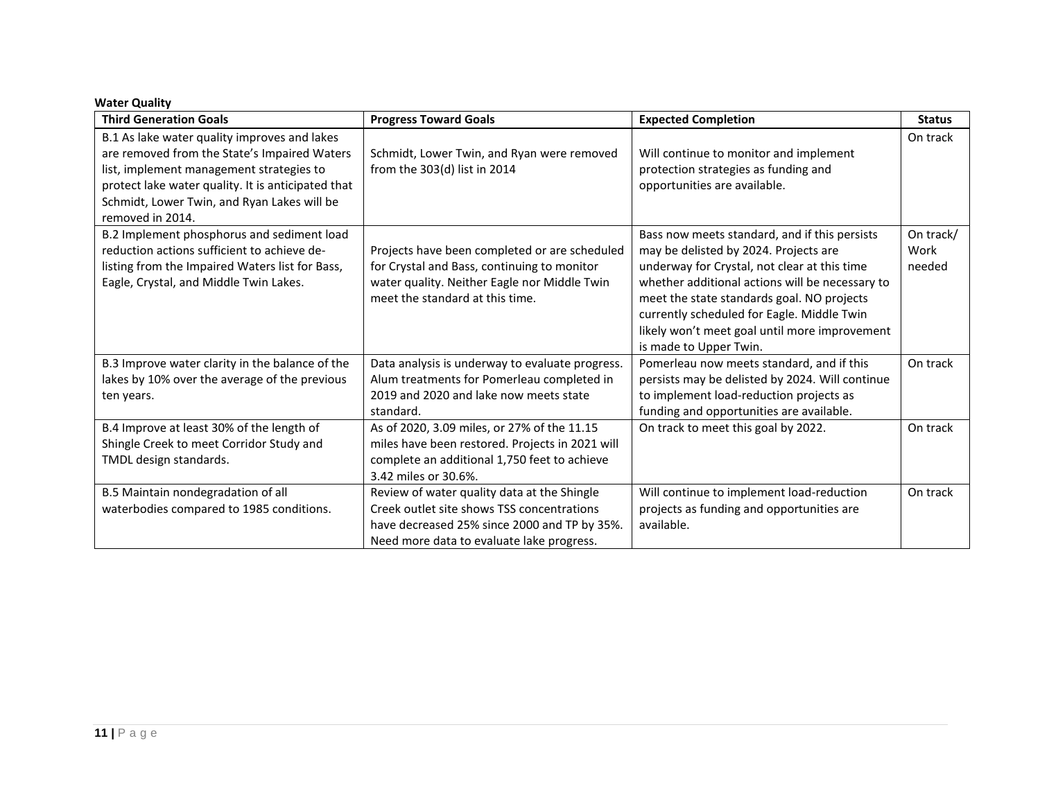### **Water Quality**

| <b>Third Generation Goals</b>                                                                                                                                                                                                                                     | <b>Progress Toward Goals</b>                                                                                                                                                           | <b>Expected Completion</b>                                                                                                                                                                                                                                                                                                                                       | <b>Status</b>               |
|-------------------------------------------------------------------------------------------------------------------------------------------------------------------------------------------------------------------------------------------------------------------|----------------------------------------------------------------------------------------------------------------------------------------------------------------------------------------|------------------------------------------------------------------------------------------------------------------------------------------------------------------------------------------------------------------------------------------------------------------------------------------------------------------------------------------------------------------|-----------------------------|
| B.1 As lake water quality improves and lakes<br>are removed from the State's Impaired Waters<br>list, implement management strategies to<br>protect lake water quality. It is anticipated that<br>Schmidt, Lower Twin, and Ryan Lakes will be<br>removed in 2014. | Schmidt, Lower Twin, and Ryan were removed<br>from the 303(d) list in 2014                                                                                                             | Will continue to monitor and implement<br>protection strategies as funding and<br>opportunities are available.                                                                                                                                                                                                                                                   | On track                    |
| B.2 Implement phosphorus and sediment load<br>reduction actions sufficient to achieve de-<br>listing from the Impaired Waters list for Bass,<br>Eagle, Crystal, and Middle Twin Lakes.                                                                            | Projects have been completed or are scheduled<br>for Crystal and Bass, continuing to monitor<br>water quality. Neither Eagle nor Middle Twin<br>meet the standard at this time.        | Bass now meets standard, and if this persists<br>may be delisted by 2024. Projects are<br>underway for Crystal, not clear at this time<br>whether additional actions will be necessary to<br>meet the state standards goal. NO projects<br>currently scheduled for Eagle. Middle Twin<br>likely won't meet goal until more improvement<br>is made to Upper Twin. | On track/<br>Work<br>needed |
| B.3 Improve water clarity in the balance of the<br>lakes by 10% over the average of the previous<br>ten years.                                                                                                                                                    | Data analysis is underway to evaluate progress.<br>Alum treatments for Pomerleau completed in<br>2019 and 2020 and lake now meets state<br>standard.                                   | Pomerleau now meets standard, and if this<br>persists may be delisted by 2024. Will continue<br>to implement load-reduction projects as<br>funding and opportunities are available.                                                                                                                                                                              | On track                    |
| B.4 Improve at least 30% of the length of<br>Shingle Creek to meet Corridor Study and<br>TMDL design standards.                                                                                                                                                   | As of 2020, 3.09 miles, or 27% of the 11.15<br>miles have been restored. Projects in 2021 will<br>complete an additional 1,750 feet to achieve<br>3.42 miles or 30.6%.                 | On track to meet this goal by 2022.                                                                                                                                                                                                                                                                                                                              | On track                    |
| B.5 Maintain nondegradation of all<br>waterbodies compared to 1985 conditions.                                                                                                                                                                                    | Review of water quality data at the Shingle<br>Creek outlet site shows TSS concentrations<br>have decreased 25% since 2000 and TP by 35%.<br>Need more data to evaluate lake progress. | Will continue to implement load-reduction<br>projects as funding and opportunities are<br>available.                                                                                                                                                                                                                                                             | On track                    |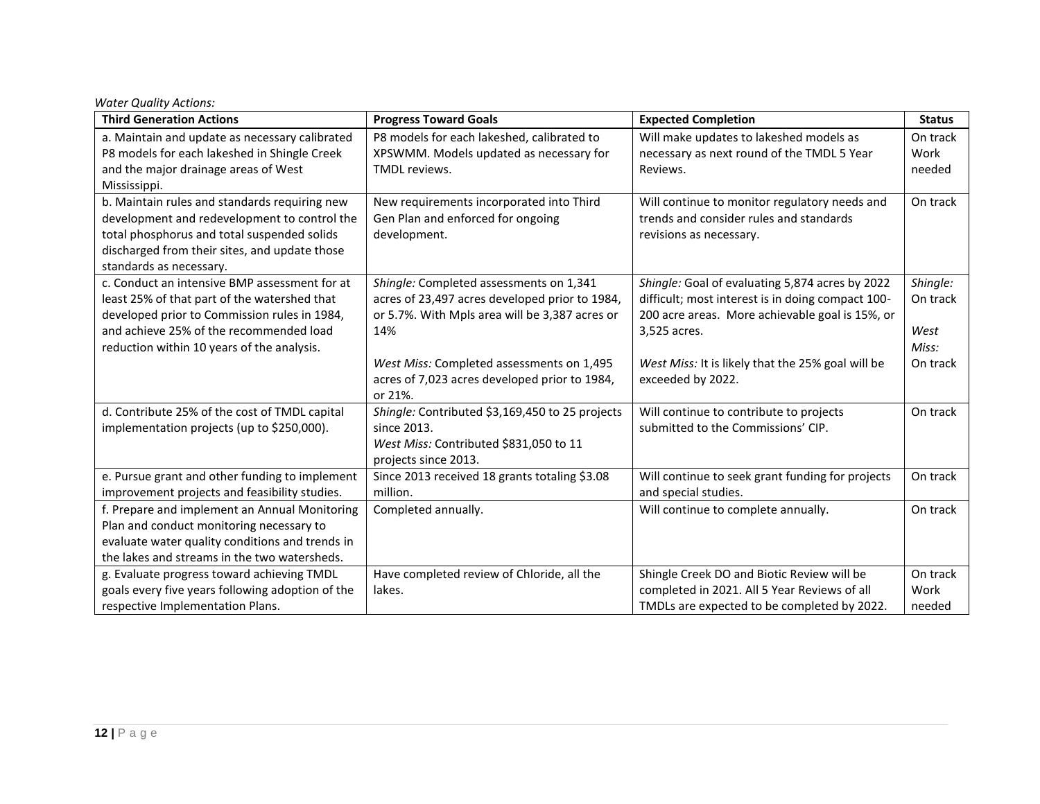| <b>Third Generation Actions</b>                  | <b>Progress Toward Goals</b>                    | <b>Expected Completion</b>                        | <b>Status</b> |
|--------------------------------------------------|-------------------------------------------------|---------------------------------------------------|---------------|
| a. Maintain and update as necessary calibrated   | P8 models for each lakeshed, calibrated to      | Will make updates to lakeshed models as           | On track      |
| P8 models for each lakeshed in Shingle Creek     | XPSWMM. Models updated as necessary for         | necessary as next round of the TMDL 5 Year        | Work          |
| and the major drainage areas of West             | TMDL reviews.                                   | Reviews.                                          | needed        |
| Mississippi.                                     |                                                 |                                                   |               |
| b. Maintain rules and standards requiring new    | New requirements incorporated into Third        | Will continue to monitor regulatory needs and     | On track      |
| development and redevelopment to control the     | Gen Plan and enforced for ongoing               | trends and consider rules and standards           |               |
| total phosphorus and total suspended solids      | development.                                    | revisions as necessary.                           |               |
| discharged from their sites, and update those    |                                                 |                                                   |               |
| standards as necessary.                          |                                                 |                                                   |               |
| c. Conduct an intensive BMP assessment for at    | Shingle: Completed assessments on 1,341         | Shingle: Goal of evaluating 5,874 acres by 2022   | Shingle:      |
| least 25% of that part of the watershed that     | acres of 23,497 acres developed prior to 1984,  | difficult; most interest is in doing compact 100- | On track      |
| developed prior to Commission rules in 1984,     | or 5.7%. With Mpls area will be 3,387 acres or  | 200 acre areas. More achievable goal is 15%, or   |               |
| and achieve 25% of the recommended load          | 14%                                             | 3,525 acres.                                      | West          |
| reduction within 10 years of the analysis.       |                                                 |                                                   | Miss:         |
|                                                  | West Miss: Completed assessments on 1,495       | West Miss: It is likely that the 25% goal will be | On track      |
|                                                  | acres of 7,023 acres developed prior to 1984,   | exceeded by 2022.                                 |               |
|                                                  | or 21%.                                         |                                                   |               |
| d. Contribute 25% of the cost of TMDL capital    | Shingle: Contributed \$3,169,450 to 25 projects | Will continue to contribute to projects           | On track      |
| implementation projects (up to \$250,000).       | since 2013.                                     | submitted to the Commissions' CIP.                |               |
|                                                  | West Miss: Contributed \$831,050 to 11          |                                                   |               |
|                                                  | projects since 2013.                            |                                                   |               |
| e. Pursue grant and other funding to implement   | Since 2013 received 18 grants totaling \$3.08   | Will continue to seek grant funding for projects  | On track      |
| improvement projects and feasibility studies.    | million.                                        | and special studies.                              |               |
| f. Prepare and implement an Annual Monitoring    | Completed annually.                             | Will continue to complete annually.               | On track      |
| Plan and conduct monitoring necessary to         |                                                 |                                                   |               |
| evaluate water quality conditions and trends in  |                                                 |                                                   |               |
| the lakes and streams in the two watersheds.     |                                                 |                                                   |               |
| g. Evaluate progress toward achieving TMDL       | Have completed review of Chloride, all the      | Shingle Creek DO and Biotic Review will be        | On track      |
| goals every five years following adoption of the | lakes.                                          | completed in 2021. All 5 Year Reviews of all      | Work          |
| respective Implementation Plans.                 |                                                 | TMDLs are expected to be completed by 2022.       | needed        |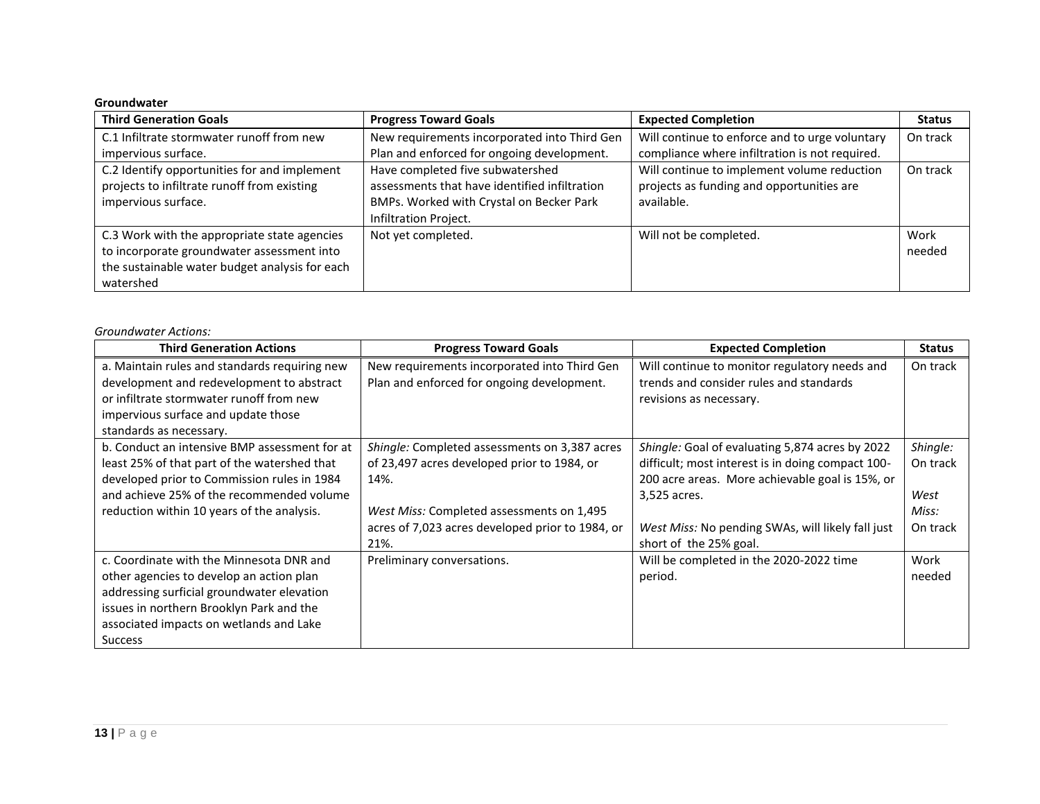#### **Groundwater**

| <b>Third Generation Goals</b>                                                                                                                             | <b>Progress Toward Goals</b>                                                                                                                           | <b>Expected Completion</b>                                                                             | <b>Status</b>  |
|-----------------------------------------------------------------------------------------------------------------------------------------------------------|--------------------------------------------------------------------------------------------------------------------------------------------------------|--------------------------------------------------------------------------------------------------------|----------------|
| C.1 Infiltrate stormwater runoff from new                                                                                                                 | New requirements incorporated into Third Gen                                                                                                           | Will continue to enforce and to urge voluntary                                                         | On track       |
| impervious surface.                                                                                                                                       | Plan and enforced for ongoing development.                                                                                                             | compliance where infiltration is not required.                                                         |                |
| C.2 Identify opportunities for and implement<br>projects to infiltrate runoff from existing<br>impervious surface.                                        | Have completed five subwatershed<br>assessments that have identified infiltration<br>BMPs. Worked with Crystal on Becker Park<br>Infiltration Project. | Will continue to implement volume reduction<br>projects as funding and opportunities are<br>available. | On track       |
| C.3 Work with the appropriate state agencies<br>to incorporate groundwater assessment into<br>the sustainable water budget analysis for each<br>watershed | Not yet completed.                                                                                                                                     | Will not be completed.                                                                                 | Work<br>needed |

#### *Groundwater Actions:*

| <b>Third Generation Actions</b>                                                                                                                                                                                                             | <b>Progress Toward Goals</b>                                                                                                                                                                                  | <b>Expected Completion</b>                                                                                                                                                                                                                             | <b>Status</b>                                     |
|---------------------------------------------------------------------------------------------------------------------------------------------------------------------------------------------------------------------------------------------|---------------------------------------------------------------------------------------------------------------------------------------------------------------------------------------------------------------|--------------------------------------------------------------------------------------------------------------------------------------------------------------------------------------------------------------------------------------------------------|---------------------------------------------------|
| a. Maintain rules and standards requiring new<br>development and redevelopment to abstract<br>or infiltrate stormwater runoff from new<br>impervious surface and update those<br>standards as necessary.                                    | New requirements incorporated into Third Gen<br>Plan and enforced for ongoing development.                                                                                                                    | Will continue to monitor regulatory needs and<br>trends and consider rules and standards<br>revisions as necessary.                                                                                                                                    | On track                                          |
| b. Conduct an intensive BMP assessment for at<br>least 25% of that part of the watershed that<br>developed prior to Commission rules in 1984<br>and achieve 25% of the recommended volume<br>reduction within 10 years of the analysis.     | Shingle: Completed assessments on 3,387 acres<br>of 23,497 acres developed prior to 1984, or<br>14%.<br>West Miss: Completed assessments on 1,495<br>acres of 7,023 acres developed prior to 1984, or<br>21%. | Shingle: Goal of evaluating 5,874 acres by 2022<br>difficult; most interest is in doing compact 100-<br>200 acre areas. More achievable goal is 15%, or<br>3,525 acres.<br>West Miss: No pending SWAs, will likely fall just<br>short of the 25% goal. | Shingle:<br>On track<br>West<br>Miss:<br>On track |
| c. Coordinate with the Minnesota DNR and<br>other agencies to develop an action plan<br>addressing surficial groundwater elevation<br>issues in northern Brooklyn Park and the<br>associated impacts on wetlands and Lake<br><b>Success</b> | Preliminary conversations.                                                                                                                                                                                    | Will be completed in the 2020-2022 time<br>period.                                                                                                                                                                                                     | Work<br>needed                                    |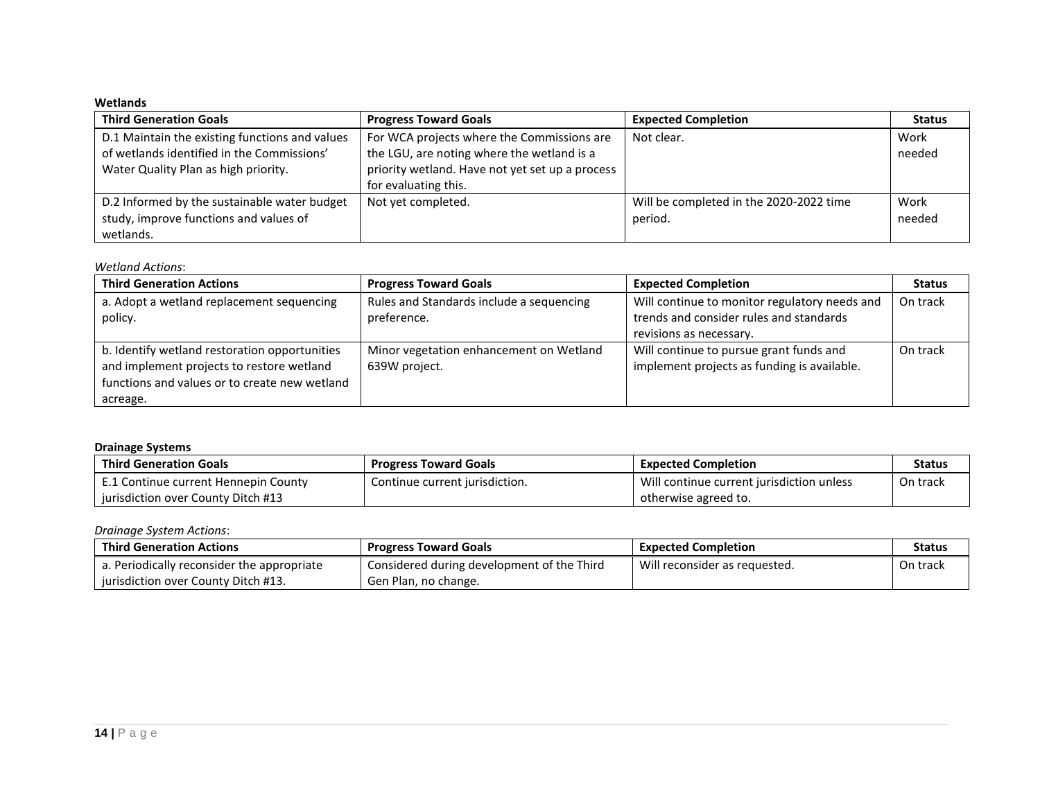### **Wetlands**

| <b>Third Generation Goals</b>                  | <b>Progress Toward Goals</b>                    | <b>Expected Completion</b>              | <b>Status</b> |
|------------------------------------------------|-------------------------------------------------|-----------------------------------------|---------------|
| D.1 Maintain the existing functions and values | For WCA projects where the Commissions are      | Not clear.                              | Work          |
| of wetlands identified in the Commissions'     | the LGU, are noting where the wetland is a      |                                         | needed        |
| Water Quality Plan as high priority.           | priority wetland. Have not yet set up a process |                                         |               |
|                                                | for evaluating this.                            |                                         |               |
| D.2 Informed by the sustainable water budget   | Not yet completed.                              | Will be completed in the 2020-2022 time | Work          |
| study, improve functions and values of         |                                                 | period.                                 | needed        |
| wetlands.                                      |                                                 |                                         |               |

#### *Wetland Actions*:

| <b>Third Generation Actions</b>                                                                                                                         | <b>Progress Toward Goals</b>                             | <b>Expected Completion</b>                                                                                          | <b>Status</b> |
|---------------------------------------------------------------------------------------------------------------------------------------------------------|----------------------------------------------------------|---------------------------------------------------------------------------------------------------------------------|---------------|
| a. Adopt a wetland replacement sequencing<br>policy.                                                                                                    | Rules and Standards include a sequencing<br>preference.  | Will continue to monitor regulatory needs and<br>trends and consider rules and standards<br>revisions as necessary. | On track      |
| b. Identify wetland restoration opportunities<br>and implement projects to restore wetland<br>functions and values or to create new wetland<br>acreage. | Minor vegetation enhancement on Wetland<br>639W project. | Will continue to pursue grant funds and<br>implement projects as funding is available.                              | On track      |

#### **Drainage Systems**

| <b>Third Generation Goals</b>        | <b>Progress Toward Goals</b>   | <b>Expected Completion</b>                | <b>Status</b> |
|--------------------------------------|--------------------------------|-------------------------------------------|---------------|
| E.1 Continue current Hennepin County | Continue current jurisdiction. | Will continue current jurisdiction unless | On track      |
| iurisdiction over County Ditch #13   |                                | otherwise agreed to.                      |               |

#### *Drainage System Actions*:

| <b>Third Generation Actions</b>            | <b>Progress Toward Goals</b>               | <b>Expected Completion</b>    | <b>Status</b> |
|--------------------------------------------|--------------------------------------------|-------------------------------|---------------|
| a. Periodically reconsider the appropriate | Considered during development of the Third | Will reconsider as requested. | On track      |
| jurisdiction over County Ditch #13.        | Gen Plan, no change.                       |                               |               |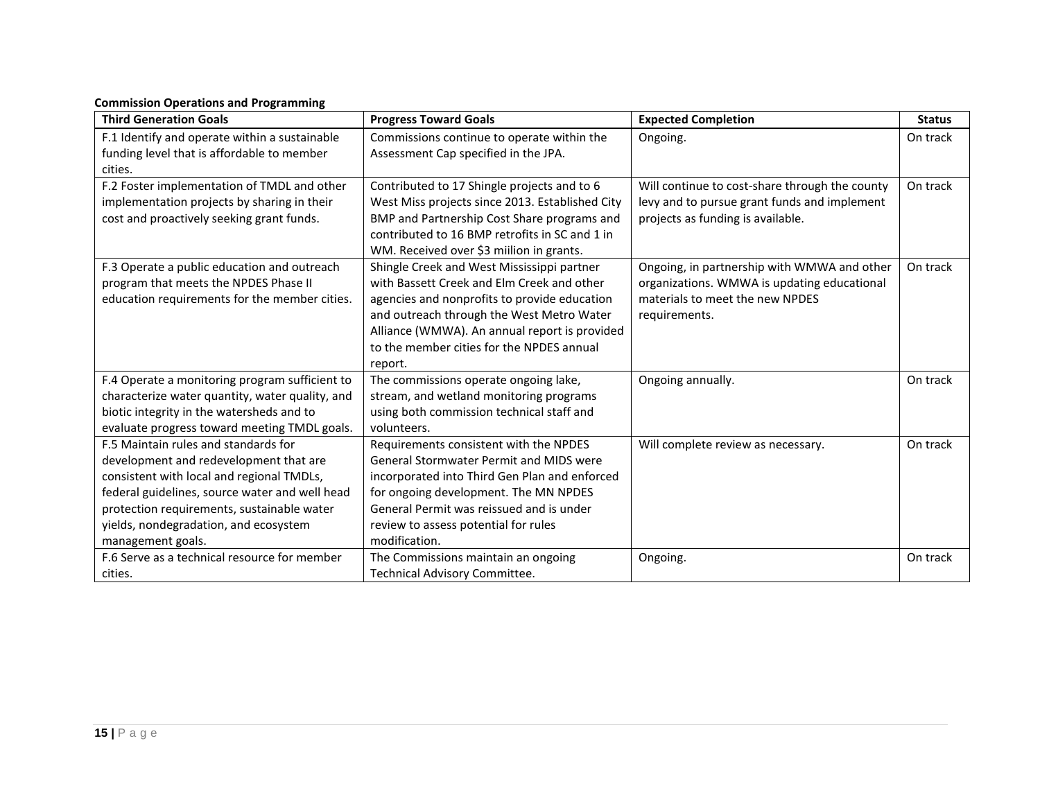## **Commission Operations and Programming**

| <b>Third Generation Goals</b>                   | <b>Progress Toward Goals</b>                    | <b>Expected Completion</b>                     | <b>Status</b> |
|-------------------------------------------------|-------------------------------------------------|------------------------------------------------|---------------|
| F.1 Identify and operate within a sustainable   | Commissions continue to operate within the      | Ongoing.                                       | On track      |
| funding level that is affordable to member      | Assessment Cap specified in the JPA.            |                                                |               |
| cities.                                         |                                                 |                                                |               |
| F.2 Foster implementation of TMDL and other     | Contributed to 17 Shingle projects and to 6     | Will continue to cost-share through the county | On track      |
| implementation projects by sharing in their     | West Miss projects since 2013. Established City | levy and to pursue grant funds and implement   |               |
| cost and proactively seeking grant funds.       | BMP and Partnership Cost Share programs and     | projects as funding is available.              |               |
|                                                 | contributed to 16 BMP retrofits in SC and 1 in  |                                                |               |
|                                                 | WM. Received over \$3 million in grants.        |                                                |               |
| F.3 Operate a public education and outreach     | Shingle Creek and West Mississippi partner      | Ongoing, in partnership with WMWA and other    | On track      |
| program that meets the NPDES Phase II           | with Bassett Creek and Elm Creek and other      | organizations. WMWA is updating educational    |               |
| education requirements for the member cities.   | agencies and nonprofits to provide education    | materials to meet the new NPDES                |               |
|                                                 | and outreach through the West Metro Water       | requirements.                                  |               |
|                                                 | Alliance (WMWA). An annual report is provided   |                                                |               |
|                                                 | to the member cities for the NPDES annual       |                                                |               |
|                                                 | report.                                         |                                                |               |
| F.4 Operate a monitoring program sufficient to  | The commissions operate ongoing lake,           | Ongoing annually.                              | On track      |
| characterize water quantity, water quality, and | stream, and wetland monitoring programs         |                                                |               |
| biotic integrity in the watersheds and to       | using both commission technical staff and       |                                                |               |
| evaluate progress toward meeting TMDL goals.    | volunteers.                                     |                                                |               |
| F.5 Maintain rules and standards for            | Requirements consistent with the NPDES          | Will complete review as necessary.             | On track      |
| development and redevelopment that are          | <b>General Stormwater Permit and MIDS were</b>  |                                                |               |
| consistent with local and regional TMDLs,       | incorporated into Third Gen Plan and enforced   |                                                |               |
| federal guidelines, source water and well head  | for ongoing development. The MN NPDES           |                                                |               |
| protection requirements, sustainable water      | General Permit was reissued and is under        |                                                |               |
| yields, nondegradation, and ecosystem           | review to assess potential for rules            |                                                |               |
| management goals.                               | modification.                                   |                                                |               |
| F.6 Serve as a technical resource for member    | The Commissions maintain an ongoing             | Ongoing.                                       | On track      |
| cities.                                         | Technical Advisory Committee.                   |                                                |               |